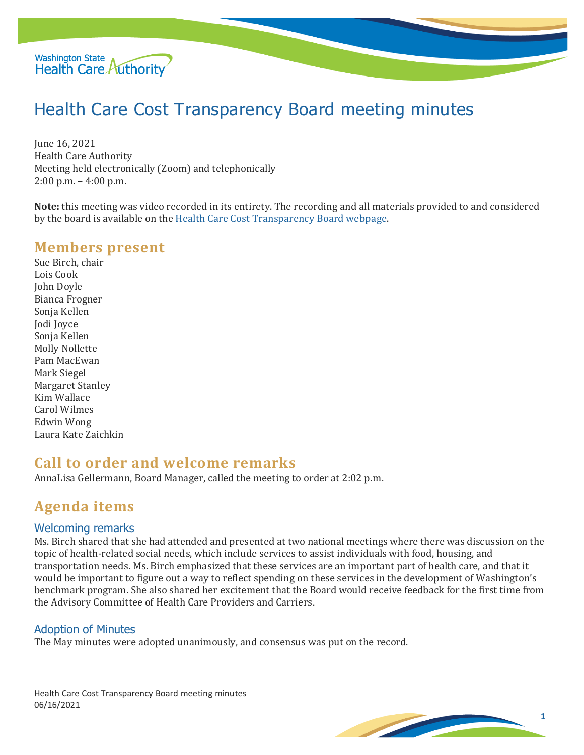

# Health Care Cost Transparency Board meeting minutes

June 16, 2021 Health Care Authority Meeting held electronically (Zoom) and telephonically 2:00 p.m. – 4:00 p.m.

**Note:** this meeting was video recorded in its entirety. The recording and all materials provided to and considered by the board is available on the [Health Care Cost Transparency Board webpage.](https://www.hca.wa.gov/about-hca/health-care-cost-transparency-board)

### **Members present**

Sue Birch, chair Lois Cook John Doyle Bianca Frogner Sonja Kellen Jodi Joyce Sonja Kellen Molly Nollette Pam MacEwan Mark Siegel Margaret Stanley Kim Wallace Carol Wilmes Edwin Wong Laura Kate Zaichkin

### **Call to order and welcome remarks**

AnnaLisa Gellermann, Board Manager, called the meeting to order at 2:02 p.m.

### **Agenda items**

#### Welcoming remarks

Ms. Birch shared that she had attended and presented at two national meetings where there was discussion on the topic of health-related social needs, which include services to assist individuals with food, housing, and transportation needs. Ms. Birch emphasized that these services are an important part of health care, and that it would be important to figure out a way to reflect spending on these services in the development of Washington's benchmark program. She also shared her excitement that the Board would receive feedback for the first time from the Advisory Committee of Health Care Providers and Carriers.

#### Adoption of Minutes

The May minutes were adopted unanimously, and consensus was put on the record.

Health Care Cost Transparency Board meeting minutes 06/16/2021

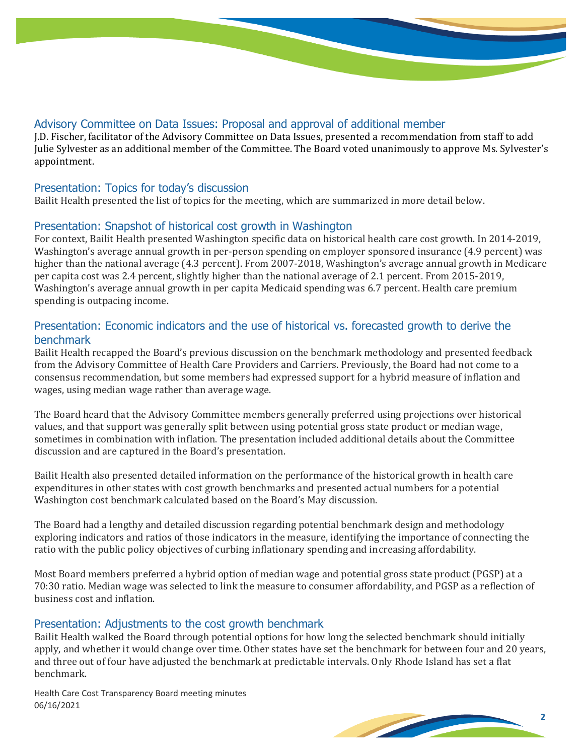#### Advisory Committee on Data Issues: Proposal and approval of additional member

J.D. Fischer, facilitator of the Advisory Committee on Data Issues, presented a recommendation from staff to add Julie Sylvester as an additional member of the Committee. The Board voted unanimously to approve Ms. Sylvester's appointment.

#### Presentation: Topics for today's discussion

Bailit Health presented the list of topics for the meeting, which are summarized in more detail below.

### Presentation: Snapshot of historical cost growth in Washington

For context, Bailit Health presented Washington specific data on historical health care cost growth. In 2014-2019, Washington's average annual growth in per-person spending on employer sponsored insurance (4.9 percent) was higher than the national average (4.3 percent). From 2007-2018, Washington's average annual growth in Medicare per capita cost was 2.4 percent, slightly higher than the national average of 2.1 percent. From 2015-2019, Washington's average annual growth in per capita Medicaid spending was 6.7 percent. Health care premium spending is outpacing income.

### Presentation: Economic indicators and the use of historical vs. forecasted growth to derive the benchmark

Bailit Health recapped the Board's previous discussion on the benchmark methodology and presented feedback from the Advisory Committee of Health Care Providers and Carriers. Previously, the Board had not come to a consensus recommendation, but some members had expressed support for a hybrid measure of inflation and wages, using median wage rather than average wage.

The Board heard that the Advisory Committee members generally preferred using projections over historical values, and that support was generally split between using potential gross state product or median wage, sometimes in combination with inflation. The presentation included additional details about the Committee discussion and are captured in the Board's presentation.

Bailit Health also presented detailed information on the performance of the historical growth in health care expenditures in other states with cost growth benchmarks and presented actual numbers for a potential Washington cost benchmark calculated based on the Board's May discussion.

The Board had a lengthy and detailed discussion regarding potential benchmark design and methodology exploring indicators and ratios of those indicators in the measure, identifying the importance of connecting the ratio with the public policy objectives of curbing inflationary spending and increasing affordability.

Most Board members preferred a hybrid option of median wage and potential gross state product (PGSP) at a 70:30 ratio. Median wage was selected to link the measure to consumer affordability, and PGSP as a reflection of business cost and inflation.

#### Presentation: Adjustments to the cost growth benchmark

Bailit Health walked the Board through potential options for how long the selected benchmark should initially apply, and whether it would change over time. Other states have set the benchmark for between four and 20 years, and three out of four have adjusted the benchmark at predictable intervals. Only Rhode Island has set a flat benchmark.

Health Care Cost Transparency Board meeting minutes 06/16/2021